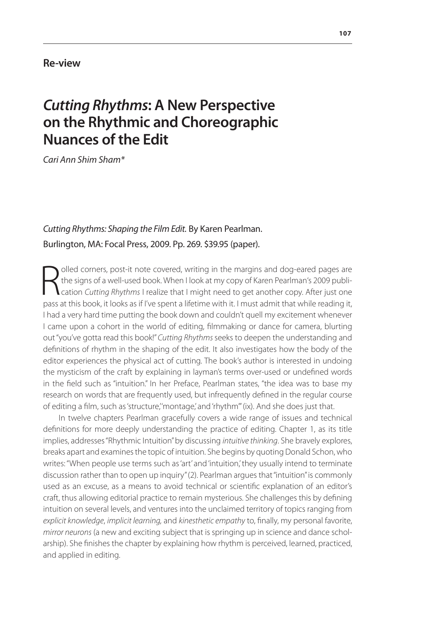## **Re-view**

## *Cutting Rhythms***: A New Perspective on the Rhythmic and Choreographic Nuances of the Edit**

*Cari Ann Shim Sham\**

## *Cutting Rhythms: Shaping the Film Edit.* By Karen Pearlman. Burlington, MA: Focal Press, 2009. Pp. 269. \$39.95 (paper).

**R** olled corners, post-it note covered, writing in the margins and dog-eared pages are the signs of a well-used book. When I look at my copy of Karen Pearlman's 2009 publication *Cutting Rhythms* I realize that I might ne olled corners, post-it note covered, writing in the margins and dog-eared pages are the signs of a well-used book. When I look at my copy of Karen Pearlman's 2009 publication *Cutting Rhythms* I realize that I might need to get another copy. After just one I had a very hard time putting the book down and couldn't quell my excitement whenever I came upon a cohort in the world of editing, filmmaking or dance for camera, blurting out "you've gotta read this book!" *Cutting Rhythms* seeks to deepen the understanding and definitions of rhythm in the shaping of the edit. It also investigates how the body of the editor experiences the physical act of cutting. The book's author is interested in undoing the mysticism of the craft by explaining in layman's terms over-used or undefined words in the field such as "intuition." In her Preface, Pearlman states, "the idea was to base my research on words that are frequently used, but infrequently defined in the regular course of editing a film, such as 'structure,''montage,' and 'rhythm''' (ix). And she does just that.

In twelve chapters Pearlman gracefully covers a wide range of issues and technical definitions for more deeply understanding the practice of editing. Chapter 1, as its title implies, addresses "Rhythmic Intuition" by discussing *intuitive thinking*. She bravely explores, breaks apart and examines the topic of intuition. She begins by quoting Donald Schon, who writes: "When people use terms such as 'art' and 'intuition,' they usually intend to terminate discussion rather than to open up inquiry" (2). Pearlman argues that "intuition" is commonly used as an excuse, as a means to avoid technical or scientific explanation of an editor's craft, thus allowing editorial practice to remain mysterious. She challenges this by defining intuition on several levels, and ventures into the unclaimed territory of topics ranging from *explicit knowledge*, *implicit learning,* and *kinesthetic empathy* to, finally, my personal favorite, *mirror neurons* (a new and exciting subject that is springing up in science and dance scholarship). She finishes the chapter by explaining how rhythm is perceived, learned, practiced, and applied in editing.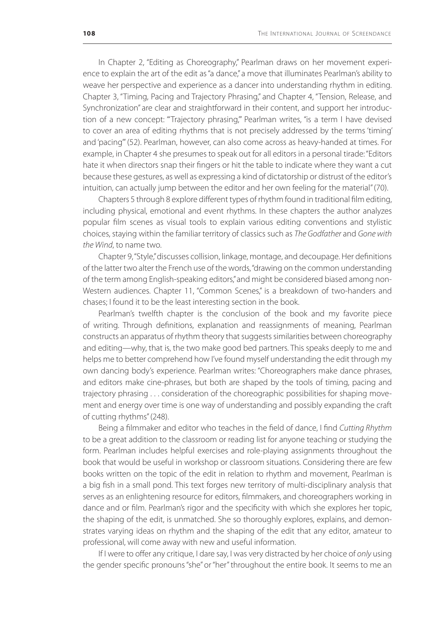In Chapter 2, "Editing as Choreography," Pearlman draws on her movement experience to explain the art of the edit as "a dance," a move that illuminates Pearlman's ability to weave her perspective and experience as a dancer into understanding rhythm in editing. Chapter 3, "Timing, Pacing and Trajectory Phrasing," and Chapter 4, "Tension, Release, and Synchronization" are clear and straightforward in their content, and support her introduction of a new concept: "'Trajectory phrasing,'" Pearlman writes, "is a term I have devised to cover an area of editing rhythms that is not precisely addressed by the terms 'timing' and 'pacing'" (52). Pearlman, however, can also come across as heavy-handed at times. For example, in Chapter 4 she presumes to speak out for all editors in a personal tirade: "Editors hate it when directors snap their fingers or hit the table to indicate where they want a cut because these gestures, as well as expressing a kind of dictatorship or distrust of the editor's intuition, can actually jump between the editor and her own feeling for the material" (70).

Chapters 5 through 8 explore different types of rhythm found in traditional film editing, including physical, emotional and event rhythms. In these chapters the author analyzes popular film scenes as visual tools to explain various editing conventions and stylistic choices, staying within the familiar territory of classics such as *The Godfather* and *Gone with the Wind*, to name two.

Chapter 9, "Style," discusses collision, linkage, montage, and decoupage. Her definitions of the latter two alter the French use of the words, "drawing on the common understanding of the term among English-speaking editors," and might be considered biased among non-Western audiences. Chapter 11, "Common Scenes," is a breakdown of two-handers and chases; I found it to be the least interesting section in the book.

Pearlman's twelfth chapter is the conclusion of the book and my favorite piece of writing. Through definitions, explanation and reassignments of meaning, Pearlman constructs an apparatus of rhythm theory that suggests similarities between choreography and editing—why, that is, the two make good bed partners. This speaks deeply to me and helps me to better comprehend how I've found myself understanding the edit through my own dancing body's experience. Pearlman writes: "Choreographers make dance phrases, and editors make cine-phrases, but both are shaped by the tools of timing, pacing and trajectory phrasing . . . consideration of the choreographic possibilities for shaping movement and energy over time is one way of understanding and possibly expanding the craft of cutting rhythms" (248).

Being a filmmaker and editor who teaches in the field of dance, I find *Cutting Rhythm*  to be a great addition to the classroom or reading list for anyone teaching or studying the form. Pearlman includes helpful exercises and role-playing assignments throughout the book that would be useful in workshop or classroom situations. Considering there are few books written on the topic of the edit in relation to rhythm and movement, Pearlman is a big fish in a small pond. This text forges new territory of multi-disciplinary analysis that serves as an enlightening resource for editors, filmmakers, and choreographers working in dance and or film. Pearlman's rigor and the specificity with which she explores her topic, the shaping of the edit, is unmatched. She so thoroughly explores, explains, and demonstrates varying ideas on rhythm and the shaping of the edit that any editor, amateur to professional, will come away with new and useful information.

If I were to offer any critique, I dare say, I was very distracted by her choice of *only* using the gender specific pronouns "she" or "her" throughout the entire book. It seems to me an